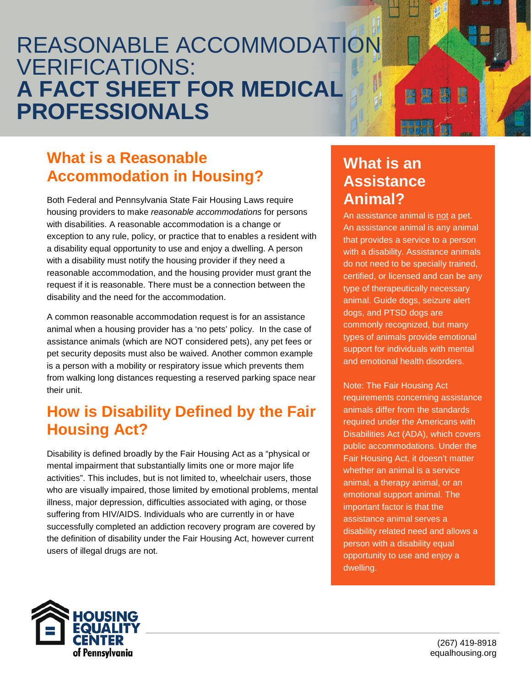# REASONABLE ACCOMMODATION VERIFICATIONS: **A FACT SHEET FOR MEDICAL PROFESSIONALS**

## **What is a Reasonable Accommodation in Housing?**

Both Federal and Pennsylvania State Fair Housing Laws require housing providers to make *reasonable accommodations* for persons with disabilities. A reasonable accommodation is a change or exception to any rule, policy, or practice that to enables a resident with a disability equal opportunity to use and enjoy a dwelling. A person with a disability must notify the housing provider if they need a reasonable accommodation, and the housing provider must grant the request if it is reasonable. There must be a connection between the disability and the need for the accommodation.

A common reasonable accommodation request is for an assistance animal when a housing provider has a 'no pets' policy. In the case of assistance animals (which are NOT considered pets), any pet fees or pet security deposits must also be waived. Another common example is a person with a mobility or respiratory issue which prevents them from walking long distances requesting a reserved parking space near their unit.

#### **How is Disability Defined by the Fair Housing Act?**

Disability is defined broadly by the Fair Housing Act as a "physical or mental impairment that substantially limits one or more major life activities". This includes, but is not limited to, wheelchair users, those who are visually impaired, those limited by emotional problems, mental illness, major depression, difficulties associated with aging, or those suffering from HIV/AIDS. Individuals who are currently in or have successfully completed an addiction recovery program are covered by the definition of disability under the Fair Housing Act, however current users of illegal drugs are not.

### **What is an Assistance Animal?**

An assistance animal is not a pet. An assistance animal is any animal that provides a service to a person with a disability. Assistance animals do not need to be specially trained, certified, or licensed and can be any type of therapeutically necessary animal. Guide dogs, seizure alert dogs, and PTSD dogs are commonly recognized, but many types of animals provide emotional support for individuals with mental and emotional health disorders.

Note: The Fair Housing Act requirements concerning assistance animals differ from the standards required under the Americans with Disabilities Act (ADA), which covers public accommodations. Under the Fair Housing Act, it doesn't matter whether an animal is a service animal, a therapy animal, or an emotional support animal. The important factor is that the assistance animal serves a disability related need and allows a person with a disability equal opportunity to use and enjoy a dwelling.